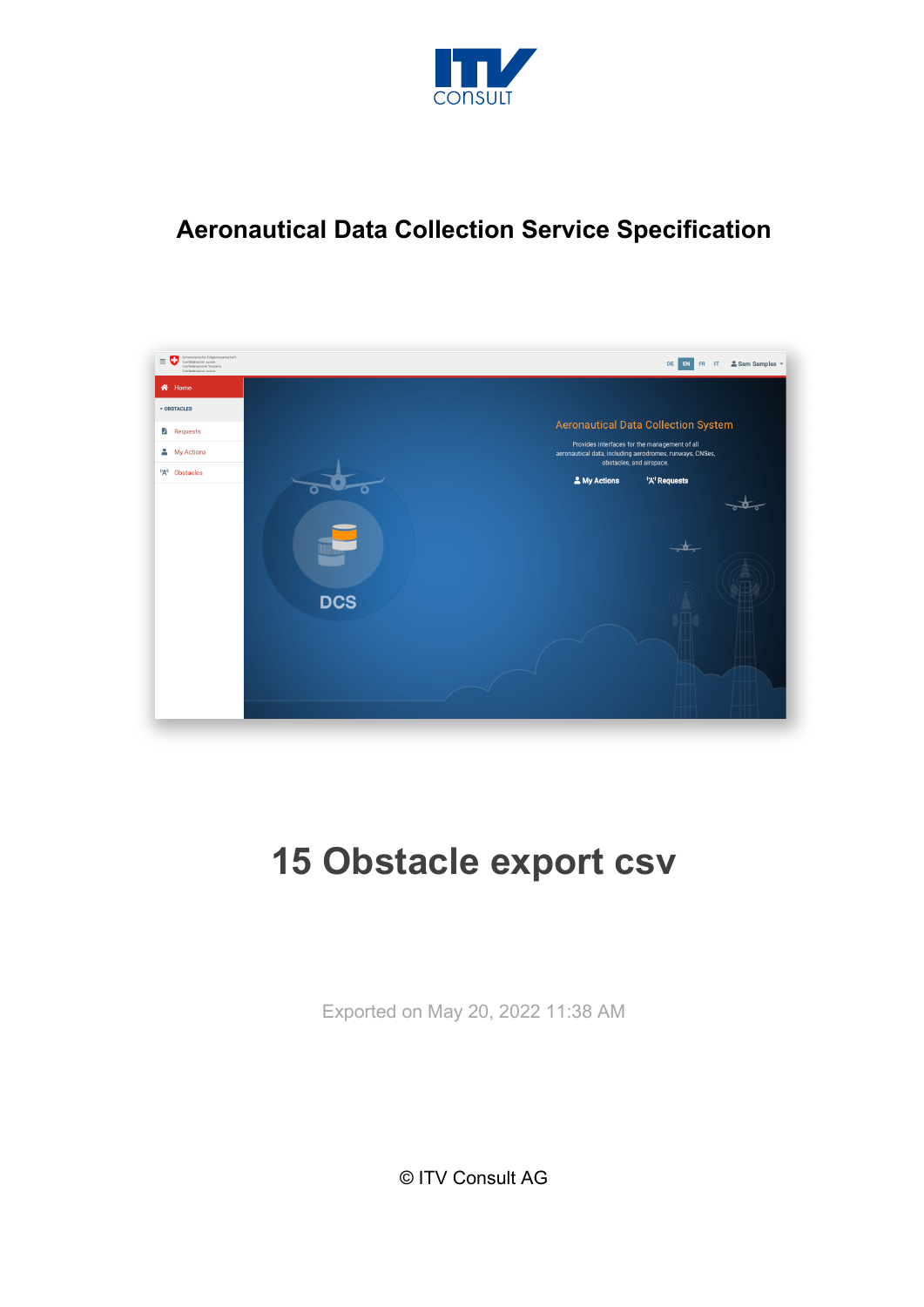

## **Aeronautical Data Collection Service Specification**



# **15 Obstacle export csv**

Exported on May 20, 2022 11:38 AM

© ITV Consult AG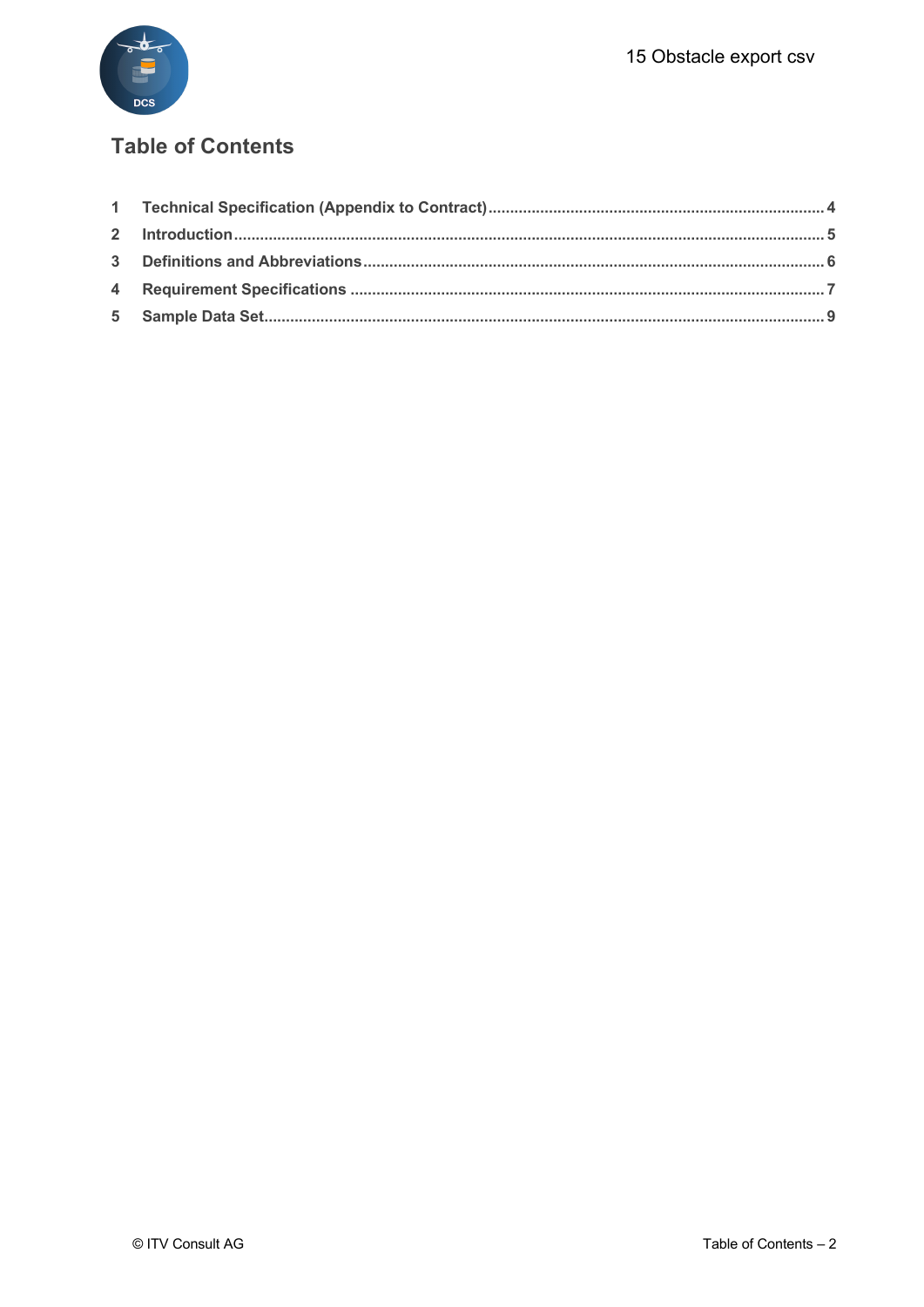

#### **Table of Contents**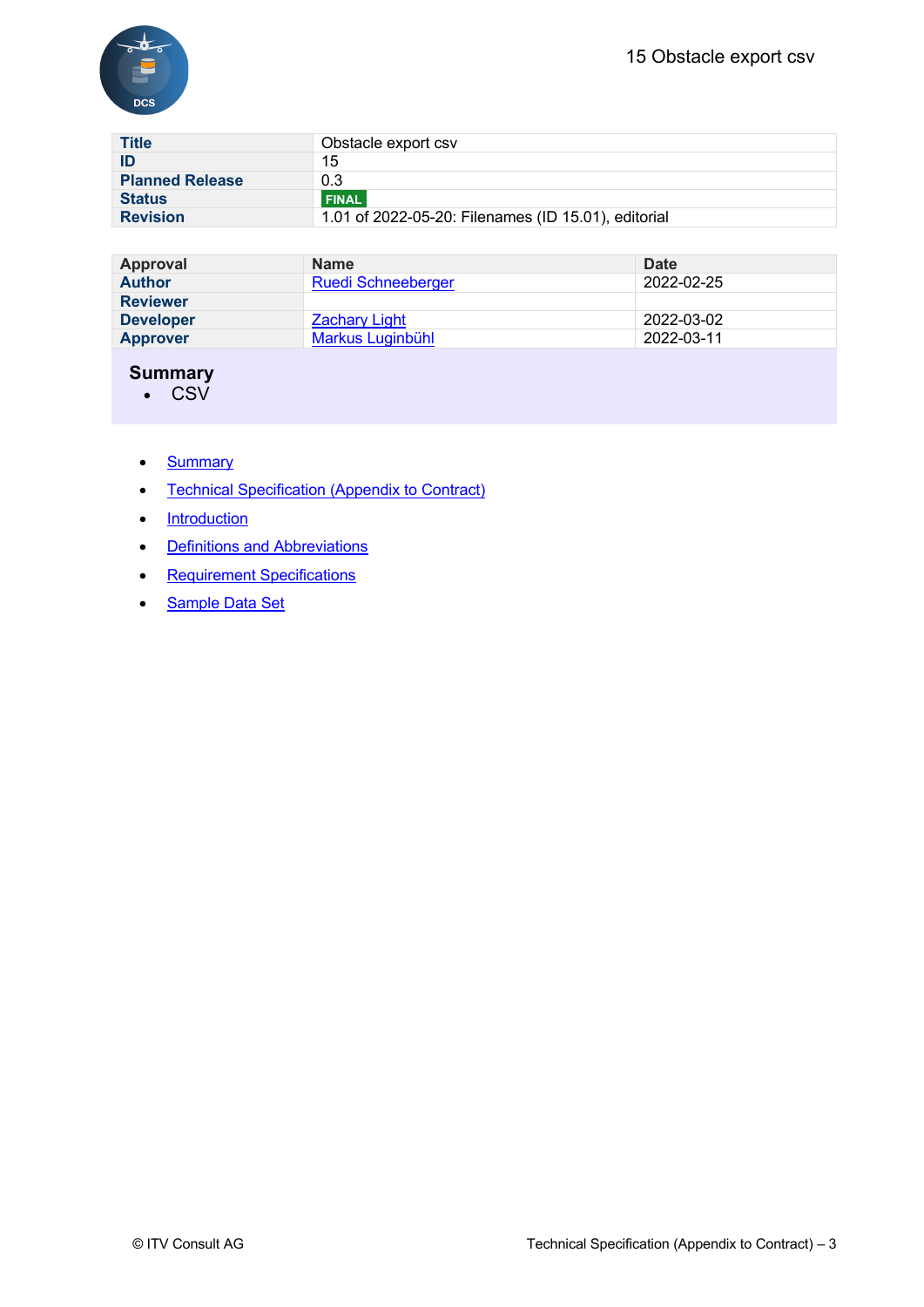

| <b>Title</b>           | Obstacle export csv                                 |
|------------------------|-----------------------------------------------------|
| ID                     | 15                                                  |
| <b>Planned Release</b> | 0.3                                                 |
| <b>Status</b>          | <b>FINAL</b>                                        |
| <b>Revision</b>        | 1.01 of 2022-05-20: Filenames (ID 15.01), editorial |

| Approval         | <b>Name</b>               | Date       |
|------------------|---------------------------|------------|
| <b>Author</b>    | <b>Ruedi Schneeberger</b> | 2022-02-25 |
| <b>Reviewer</b>  |                           |            |
| <b>Developer</b> | <b>Zachary Light</b>      | 2022-03-02 |
| <b>Approver</b>  | Markus Luginbühl          | 2022-03-11 |

#### **Summary**

• CSV

- Summary
- Technical Specification (Appendix to Contract)
- Introduction
- Definitions and Abbreviations
- Requirement Specifications
- Sample Data Set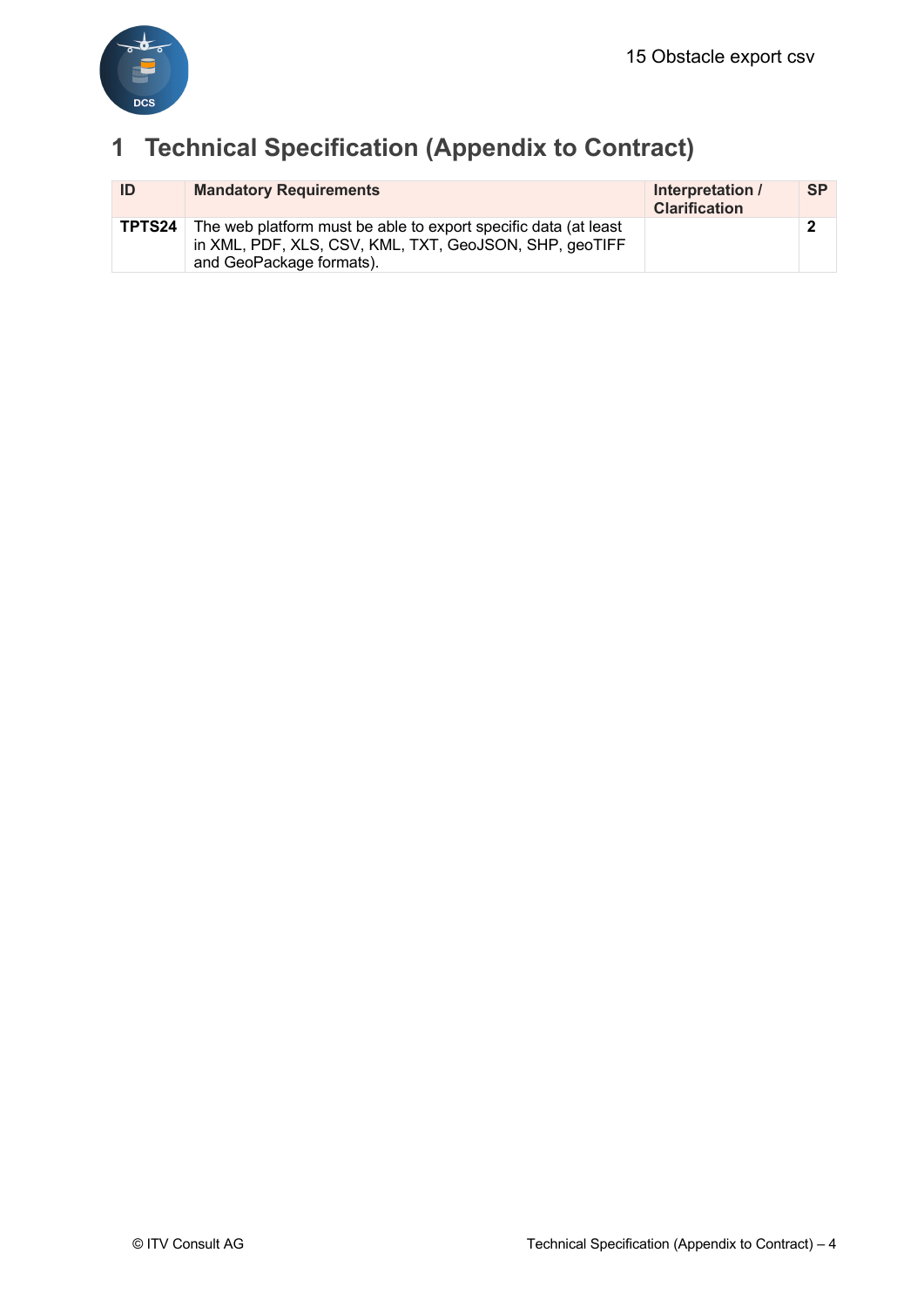

# **1 Technical Specification (Appendix to Contract)**

| ID     | <b>Mandatory Requirements</b>                                                                                                                         | Interpretation /<br><b>Clarification</b> | <b>SP</b> |
|--------|-------------------------------------------------------------------------------------------------------------------------------------------------------|------------------------------------------|-----------|
| TPTS24 | The web platform must be able to export specific data (at least<br>in XML, PDF, XLS, CSV, KML, TXT, GeoJSON, SHP, geoTIFF<br>and GeoPackage formats). |                                          |           |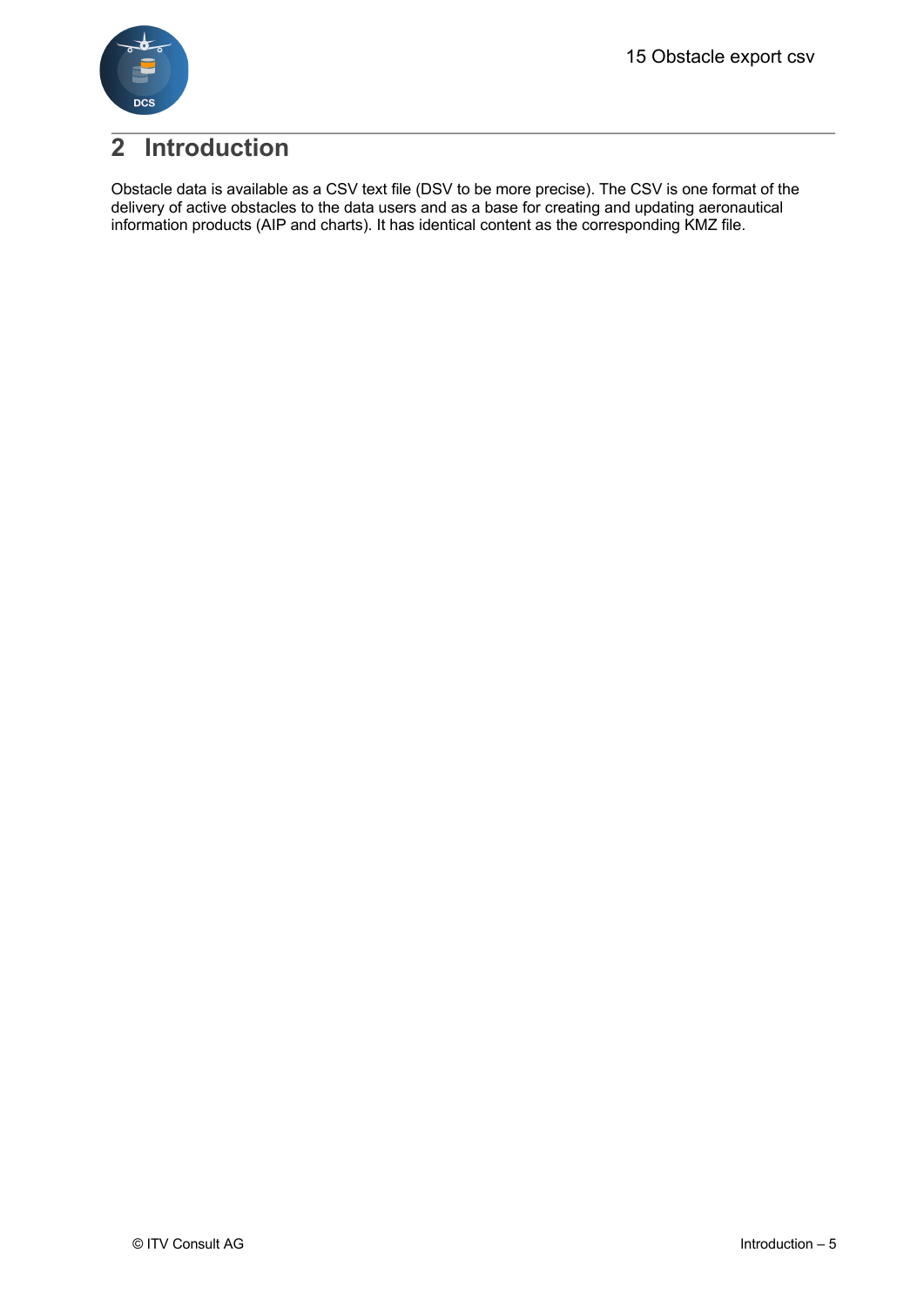

## **2 Introduction**

Obstacle data is available as a CSV text file (DSV to be more precise). The CSV is one format of the delivery of active obstacles to the data users and as a base for creating and updating aeronautical information products (AIP and charts). It has identical content as the corresponding KMZ file.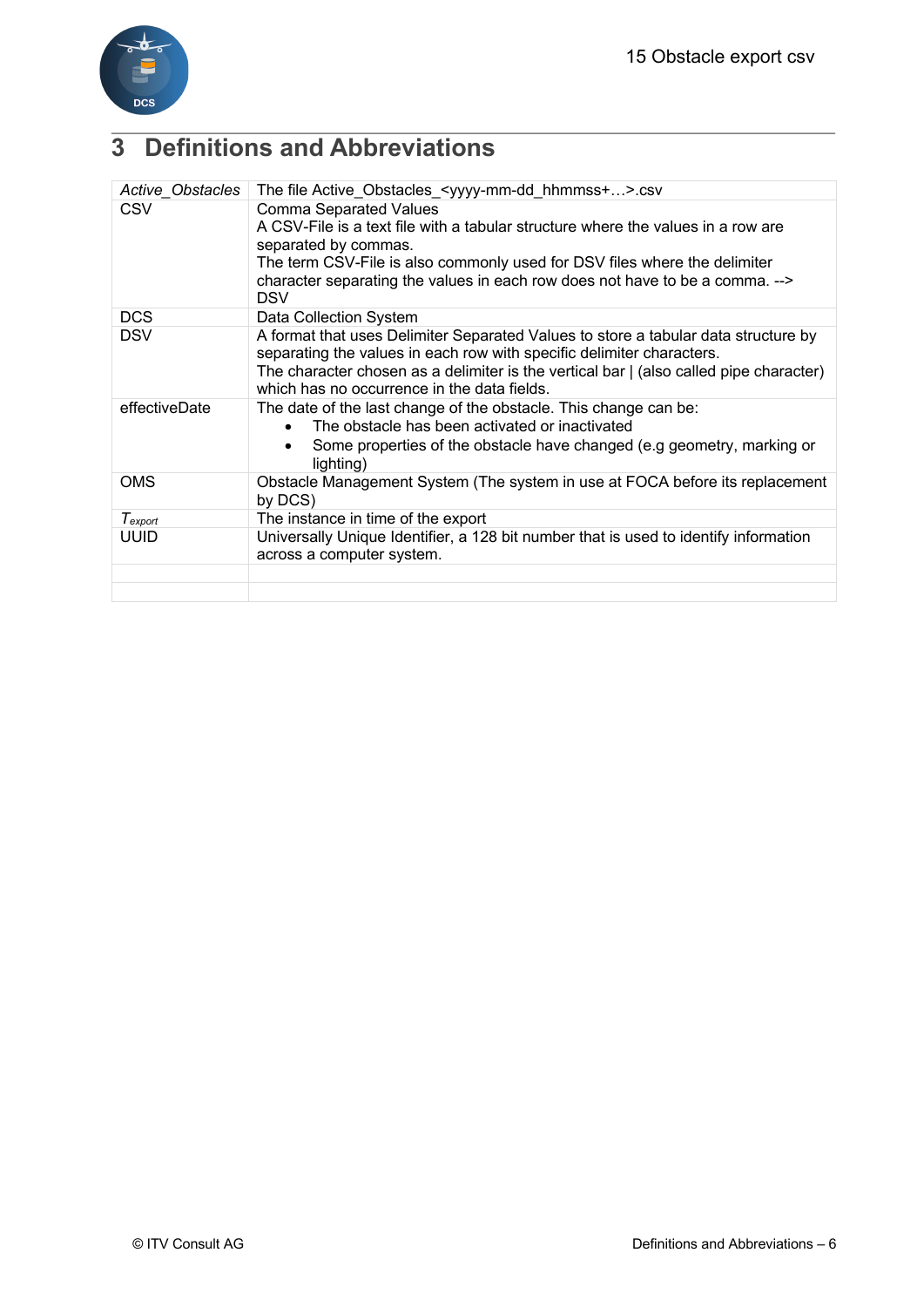

# **3 Definitions and Abbreviations**

| Active Obstacles | The file Active_Obstacles_ <yyyy-mm-dd_hhmmss+>.csv</yyyy-mm-dd_hhmmss+>                                                                                                                                                                                                                                             |
|------------------|----------------------------------------------------------------------------------------------------------------------------------------------------------------------------------------------------------------------------------------------------------------------------------------------------------------------|
| <b>CSV</b>       | <b>Comma Separated Values</b><br>A CSV-File is a text file with a tabular structure where the values in a row are<br>separated by commas.<br>The term CSV-File is also commonly used for DSV files where the delimiter<br>character separating the values in each row does not have to be a comma. --><br><b>DSV</b> |
| <b>DCS</b>       | Data Collection System                                                                                                                                                                                                                                                                                               |
| <b>DSV</b>       | A format that uses Delimiter Separated Values to store a tabular data structure by<br>separating the values in each row with specific delimiter characters.<br>The character chosen as a delimiter is the vertical bar   (also called pipe character)<br>which has no occurrence in the data fields.                 |
| effectiveDate    | The date of the last change of the obstacle. This change can be:<br>The obstacle has been activated or inactivated<br>Some properties of the obstacle have changed (e.g geometry, marking or<br>lighting)                                                                                                            |
| <b>OMS</b>       | Obstacle Management System (The system in use at FOCA before its replacement<br>by DCS)                                                                                                                                                                                                                              |
| Texport          | The instance in time of the export                                                                                                                                                                                                                                                                                   |
| <b>UUID</b>      | Universally Unique Identifier, a 128 bit number that is used to identify information<br>across a computer system.                                                                                                                                                                                                    |
|                  |                                                                                                                                                                                                                                                                                                                      |
|                  |                                                                                                                                                                                                                                                                                                                      |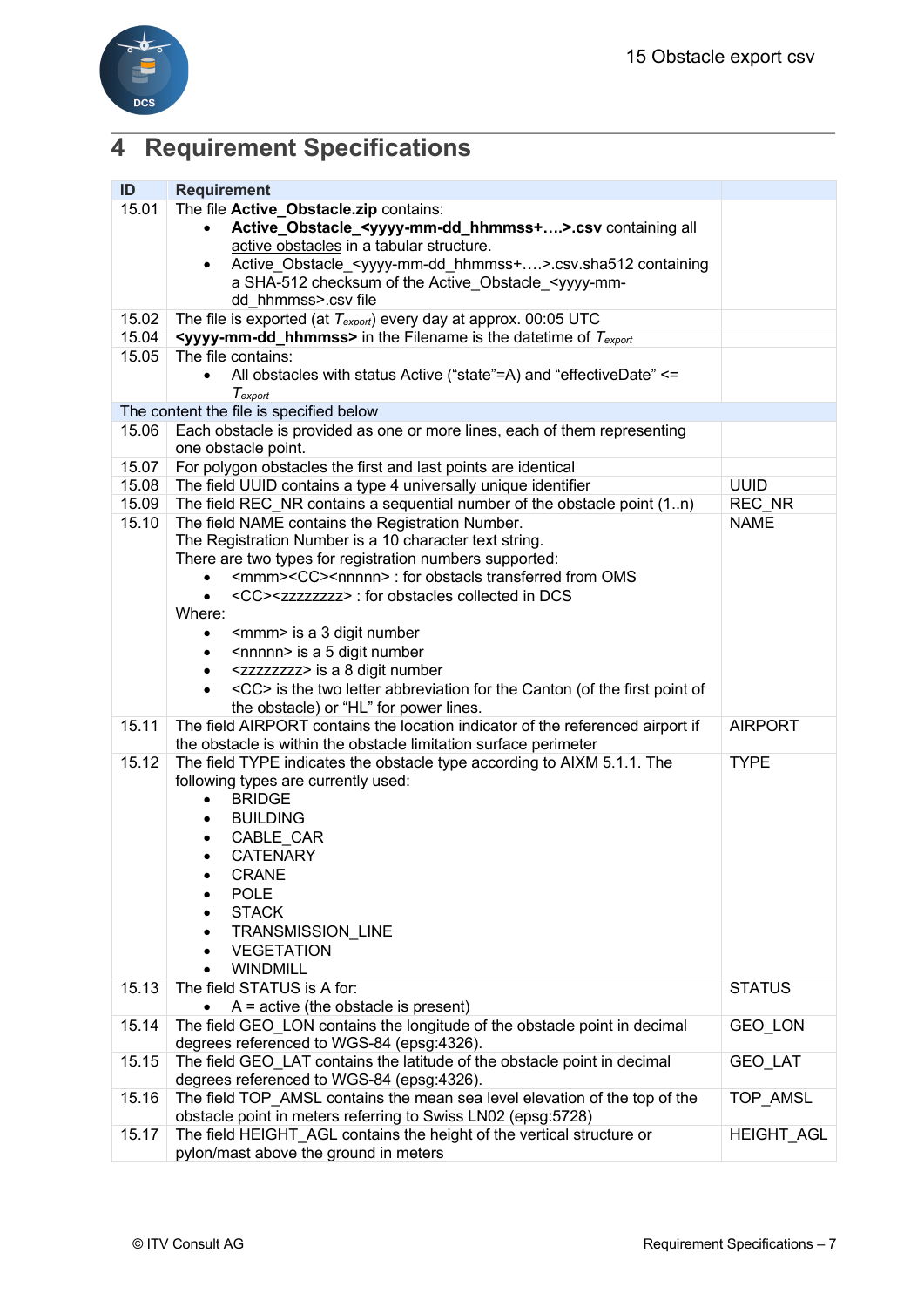

# **4 Requirement Specifications**

| ID    | <b>Requirement</b>                                                                                                         |                   |
|-------|----------------------------------------------------------------------------------------------------------------------------|-------------------|
| 15.01 | The file Active Obstacle.zip contains:                                                                                     |                   |
|       | Active_Obstacle_ <yyyy-mm-dd_hhmmss+>.csv containing all</yyyy-mm-dd_hhmmss+>                                              |                   |
|       | active obstacles in a tabular structure.                                                                                   |                   |
|       | Active_Obstacle_ <yyyy-mm-dd_hhmmss+>.csv.sha512 containing<br/><math display="inline">\bullet</math></yyyy-mm-dd_hhmmss+> |                   |
|       | a SHA-512 checksum of the Active_Obstacle_ <yyyy-mm-< td=""><td></td></yyyy-mm-<>                                          |                   |
|       | dd hhmmss>.csv file                                                                                                        |                   |
| 15.02 | The file is exported (at $T_{\text{export}}$ ) every day at approx. 00:05 UTC                                              |                   |
| 15.04 | <b><yyyy-mm-dd_hhmmss></yyyy-mm-dd_hhmmss></b> in the Filename is the datetime of $T_{export}$<br>The file contains:       |                   |
| 15.05 |                                                                                                                            |                   |
|       | All obstacles with status Active ("state"=A) and "effectiveDate" <=                                                        |                   |
|       | Texport<br>The content the file is specified below                                                                         |                   |
| 15.06 | Each obstacle is provided as one or more lines, each of them representing                                                  |                   |
|       | one obstacle point.                                                                                                        |                   |
| 15.07 | For polygon obstacles the first and last points are identical                                                              |                   |
| 15.08 | The field UUID contains a type 4 universally unique identifier                                                             | <b>UUID</b>       |
| 15.09 | The field REC_NR contains a sequential number of the obstacle point (1n)                                                   | REC NR            |
| 15.10 | The field NAME contains the Registration Number.                                                                           | <b>NAME</b>       |
|       | The Registration Number is a 10 character text string.                                                                     |                   |
|       | There are two types for registration numbers supported:                                                                    |                   |
|       | <mmm><cc><nnnnn> : for obstacls transferred from OMS</nnnnn></cc></mmm>                                                    |                   |
|       | <cc><zzzzzzzz> : for obstacles collected in DCS<br/><math>\bullet</math></zzzzzzzz></cc>                                   |                   |
|       | Where:                                                                                                                     |                   |
|       | <mmm> is a 3 digit number<br/>٠</mmm>                                                                                      |                   |
|       | <nnnnn> is a 5 digit number<br/><math display="inline">\bullet</math></nnnnn>                                              |                   |
|       | <zzzzzzzz> is a 8 digit number</zzzzzzzz>                                                                                  |                   |
|       | <cc> is the two letter abbreviation for the Canton (of the first point of<br/><math>\bullet</math></cc>                    |                   |
|       | the obstacle) or "HL" for power lines.                                                                                     |                   |
| 15.11 | The field AIRPORT contains the location indicator of the referenced airport if                                             | <b>AIRPORT</b>    |
|       | the obstacle is within the obstacle limitation surface perimeter                                                           |                   |
| 15.12 | The field TYPE indicates the obstacle type according to AIXM 5.1.1. The                                                    | <b>TYPE</b>       |
|       | following types are currently used:                                                                                        |                   |
|       | <b>BRIDGE</b><br>$\bullet$                                                                                                 |                   |
|       | <b>BUILDING</b><br>$\bullet$                                                                                               |                   |
|       | CABLE_CAR                                                                                                                  |                   |
|       | <b>CATENARY</b>                                                                                                            |                   |
|       | CRANE                                                                                                                      |                   |
|       | <b>POLE</b>                                                                                                                |                   |
|       | <b>STACK</b>                                                                                                               |                   |
|       | TRANSMISSION_LINE<br>$\bullet$                                                                                             |                   |
|       | <b>VEGETATION</b><br>$\bullet$<br><b>WINDMILL</b><br>$\bullet$                                                             |                   |
| 15.13 | The field STATUS is A for:                                                                                                 | <b>STATUS</b>     |
|       | $A =$ active (the obstacle is present)                                                                                     |                   |
| 15.14 | The field GEO LON contains the longitude of the obstacle point in decimal                                                  | GEO_LON           |
|       | degrees referenced to WGS-84 (epsg:4326).                                                                                  |                   |
| 15.15 | The field GEO_LAT contains the latitude of the obstacle point in decimal                                                   | <b>GEO LAT</b>    |
|       | degrees referenced to WGS-84 (epsg:4326).                                                                                  |                   |
| 15.16 | The field TOP_AMSL contains the mean sea level elevation of the top of the                                                 | TOP AMSL          |
|       | obstacle point in meters referring to Swiss LN02 (epsg:5728)                                                               |                   |
| 15.17 | The field HEIGHT_AGL contains the height of the vertical structure or                                                      | <b>HEIGHT_AGL</b> |
|       | pylon/mast above the ground in meters                                                                                      |                   |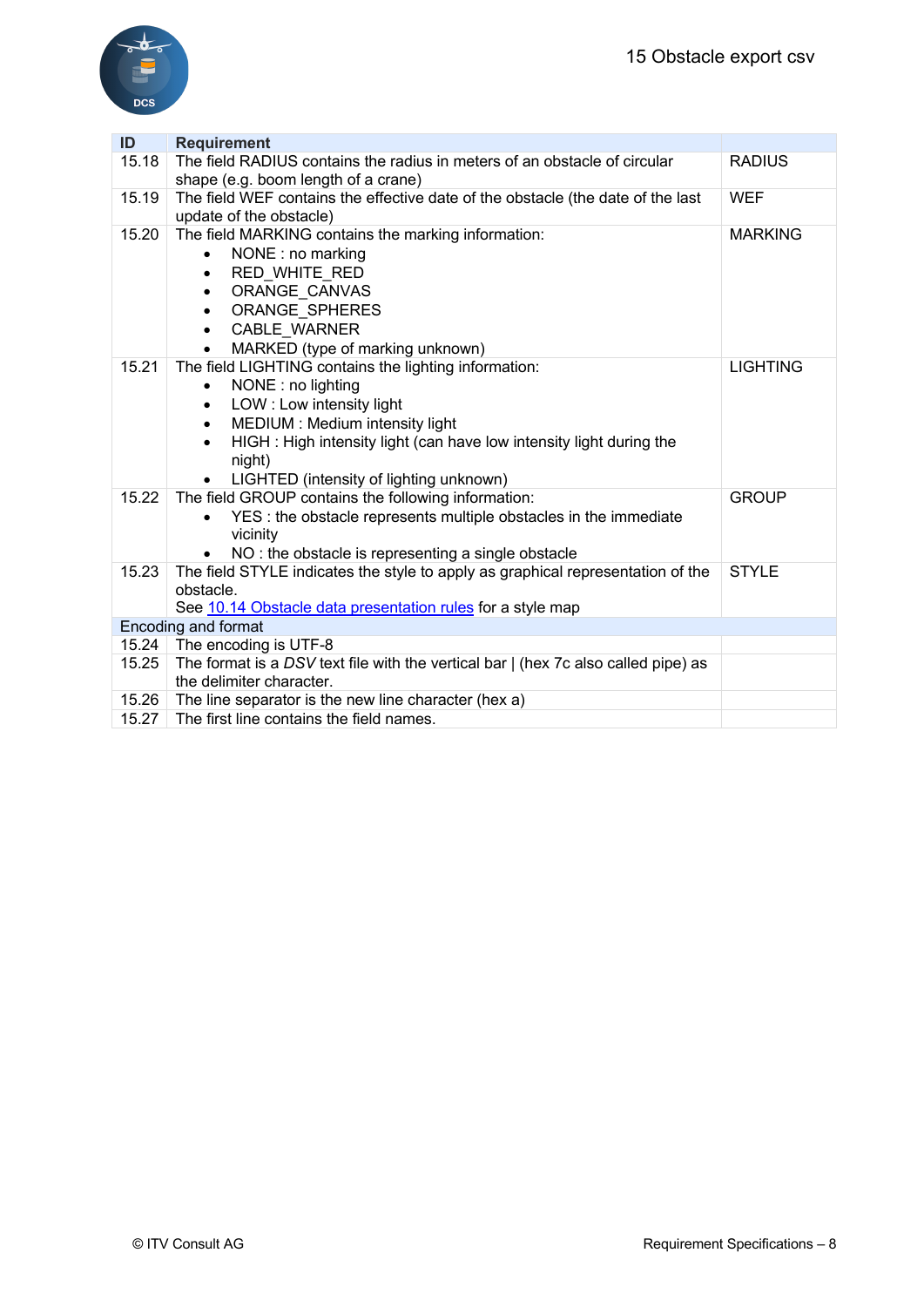

| ID    | <b>Requirement</b>                                                                                               |                 |  |
|-------|------------------------------------------------------------------------------------------------------------------|-----------------|--|
| 15.18 | The field RADIUS contains the radius in meters of an obstacle of circular<br>shape (e.g. boom length of a crane) | <b>RADIUS</b>   |  |
| 15.19 | The field WEF contains the effective date of the obstacle (the date of the last<br>update of the obstacle)       | <b>WEF</b>      |  |
| 15.20 |                                                                                                                  | <b>MARKING</b>  |  |
|       | The field MARKING contains the marking information:                                                              |                 |  |
|       | NONE: no marking<br>$\bullet$                                                                                    |                 |  |
|       | RED_WHITE_RED<br>$\bullet$                                                                                       |                 |  |
|       | ORANGE CANVAS<br>$\bullet$                                                                                       |                 |  |
|       | ORANGE SPHERES<br>$\bullet$                                                                                      |                 |  |
|       | <b>CABLE WARNER</b><br>$\bullet$                                                                                 |                 |  |
|       | MARKED (type of marking unknown)<br>$\bullet$                                                                    |                 |  |
| 15.21 | The field LIGHTING contains the lighting information:                                                            | <b>LIGHTING</b> |  |
|       | NONE: no lighting<br>$\bullet$                                                                                   |                 |  |
|       | LOW: Low intensity light<br>$\bullet$                                                                            |                 |  |
|       | MEDIUM : Medium intensity light<br>$\bullet$                                                                     |                 |  |
|       | HIGH: High intensity light (can have low intensity light during the                                              |                 |  |
|       | night)                                                                                                           |                 |  |
|       | LIGHTED (intensity of lighting unknown)                                                                          |                 |  |
| 15.22 | The field GROUP contains the following information:                                                              | <b>GROUP</b>    |  |
|       | YES : the obstacle represents multiple obstacles in the immediate                                                |                 |  |
|       | vicinity                                                                                                         |                 |  |
|       | NO: the obstacle is representing a single obstacle                                                               |                 |  |
| 15.23 | The field STYLE indicates the style to apply as graphical representation of the                                  | <b>STYLE</b>    |  |
|       | obstacle.                                                                                                        |                 |  |
|       | See 10.14 Obstacle data presentation rules for a style map                                                       |                 |  |
|       | Encoding and format                                                                                              |                 |  |
| 15.24 | The encoding is UTF-8                                                                                            |                 |  |
| 15.25 | The format is a DSV text file with the vertical bar   (hex 7c also called pipe) as                               |                 |  |
|       | the delimiter character.                                                                                         |                 |  |
| 15.26 | The line separator is the new line character (hex a)                                                             |                 |  |
| 15.27 | The first line contains the field names.                                                                         |                 |  |